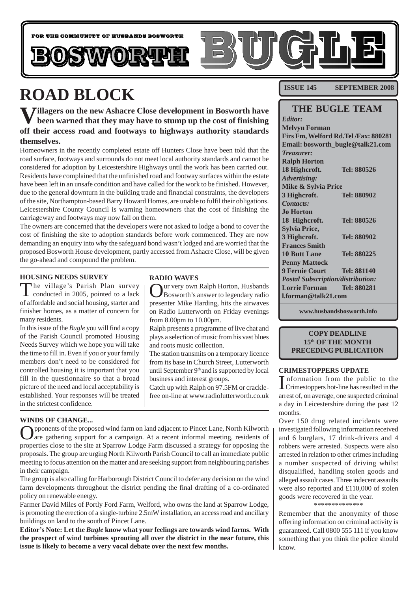

# **ROAD BLOCK**

**Villagers on the new Ashacre Close development in Bosworth have been warned that they may have to stump up the cost of finishing off their access road and footways to highways authority standards themselves.**

Homeowners in the recently completed estate off Hunters Close have been told that the road surface, footways and surrounds do not meet local authority standards and cannot be considered for adoption by Leicestershire Highways until the work has been carried out. Residents have complained that the unfinished road and footway surfaces within the estate have been left in an unsafe condition and have called for the work to be finished. However, due to the general downturn in the building trade and financial constraints, the developers of the site, Northampton-based Barry Howard Homes, are unable to fulfil their obligations. Leicestershire County Council is warning homeowners that the cost of finishing the carriageway and footways may now fall on them.

The owners are concerned that the developers were not asked to lodge a bond to cover the cost of finishing the site to adoption standards before work commenced. They are now demanding an enquiry into why the safeguard bond wasn't lodged and are worried that the proposed Bosworth House development, partly accessed from Ashacre Close, will be given the go-ahead and compound the problem.

**RADIO WAVES**

from 8.00pm to 10.00pm.

and roots music collection.

business and interest groups.

ur very own Ralph Horton, Husbands Bosworth's answer to legendary radio presenter Mike Harding, hits the airwaves on Radio Lutterworth on Friday evenings

Ralph presents a programme of live chat and plays a selection of music from his vast blues

The station transmits on a temporary licence from its base in Church Street, Lutterworth until September 9<sup>th</sup> and is supported by local

Catch up with Ralph on 97.5FM or cracklefree on-line at www.radiolutterworth.co.uk

#### **HOUSING NEEDS SURVEY**

The village's Parish Plan survey conducted in 2005, pointed to a lack of affordable and social housing, starter and finisher homes, as a matter of concern for many residents.

In this issue of the *Bugle* you will find a copy of the Parish Council promoted Housing Needs Survey which we hope you will take the time to fill in. Even if you or your family members don't need to be considered for controlled housing it is important that you fill in the questionnaire so that a broad picture of the need and local acceptability is established. Your responses will be treated in the strictest confidence.

## **WINDS OF CHANGE...**

Opponents of the proposed wind farm on land adjacent to Pincet Lane, North Kilworth are gathering support for a campaign. At a recent informal meeting, residents of properties close to the site at Sparrow Lodge Farm discussed a strategy for opposing the proposals. The group are urging North Kilworth Parish Council to call an immediate public meeting to focus attention on the matter and are seeking support from neighbouring parishes in their campaign.

The group is also calling for Harborough District Council to defer any decision on the wind farm developments throughout the district pending the final drafting of a co-ordinated policy on renewable energy.

Farmer David Miles of Portly Ford Farm, Welford, who owns the land at Sparrow Lodge, is promoting the erection of a single-turbine 2.5mW installation, an access road and ancillary buildings on land to the south of Pincet Lane.

**Editor's Note: Let the** *Bugle* **know what your feelings are towards wind farms. With the prospect of wind turbines sprouting all over the district in the near future, this issue is likely to become a very vocal debate over the next few months.**

**ISSUE 145 SEPTEMBER 2008**

## **THE BUGLE TEAM**

*Editor:* **Melvyn Forman Firs Fm, Welford Rd.Tel /Fax: 880281 Email: bosworth\_bugle@talk21.com** *Treasurer:* **Ralph Horton 18 Highcroft. Tel: 880526** *Advertising:* **Mike & Sylvia Price 3 Highcroft. Tel: 880902** *Contacts:* **Jo Horton 18 Highcroft. Tel: 880526 Sylvia Price, 3 Highcroft. Tel: 880902 Frances Smith 10 Butt Lane Tel: 880225 Penny Mattock 9 Fernie Court Tel: 881140** *Postal Subscription/distribution:* **Lorrie Forman Tel: 880281 l.forman@talk21.com**

**www.husbandsbosworth.info**

### **COPY DEADLINE 15th OF THE MONTH PRECEDING PUBLICATION**

#### **CRIMESTOPPERS UPDATE**

Information from the public to the<br>Crimestoppers hot-line has resulted in the nformation from the public to the arrest of, on average, one suspected criminal a day in Leicestershire during the past 12 months.

Over 150 drug related incidents were investigated following information received and 6 burglars, 17 drink-drivers and 4 robbers were arrested. Suspects were also arrested in relation to other crimes including a number suspected of driving whilst disqualified, handling stolen goods and alleged assault cases. Three indecent assaults were also reported and £110,000 of stolen goods were recovered in the year. .<br>\*\*\*\*\*\*\*\*\*\*\*\*\*\*

Remember that the anonymity of those offering information on criminal activity is guaranteed. Call 0800 555 111 if you know something that you think the police should know.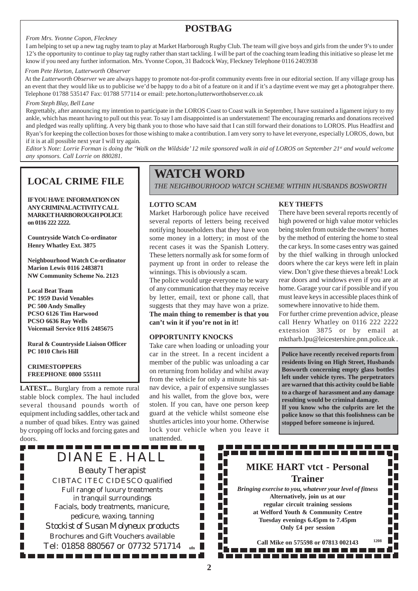## **POSTBAG**

#### *From Mrs. Yvonne Copon, Fleckney*

I am helping to set up a new tag rugby team to play at Market Harborough Rugby Club. The team will give boys and girls from the under 9's to under 12's the opportunity to continue to play tag rugby rather than start tackling. I will be part of the coaching team leading this initiative so please let me know if you need any further information. Mrs. Yvonne Copon, 31 Badcock Way, Fleckney Telephone 0116 2403938

#### *From Pete Horton, Lutterworth Observer*

At the *Lutterworth Observer* we are always happy to promote not-for-profit community events free in our editorial section. If any village group has an event that they would like us to publicise we'd be happy to do a bit of a feature on it and if it's a daytime event we may get a photograhper there. Telephone 01788 535147 Fax: 01788 577114 or email: pete.horton@lutterworthobserver.co.uk

#### *From Steph Blay, Bell Lane*

Regrettably, after announcing my intention to participate in the LOROS Coast to Coast walk in September, I have sustained a ligament injury to my ankle, which has meant having to pull out this year. To say I am disappointed is an understatement! The encouraging remarks and donations received and pledged was really uplifting. A very big thank you to those who have said that I can still forward their donations to LOROS. Plus Headfirst and Ryan's for keeping the collection boxes for those wishing to make a contribution. I am very sorry to have let everyone, especially LOROS, down, but if it is at all possible next year I will try again.

*Editor's Note: Lorrie Forman is doing the 'Walk on the Wildside' 12 mile sponsored walk in aid of LOROS on September 21<sup>st</sup> and would welcome any sponsors. Call Lorrie on 880281.*

**IF YOU HAVE INFORMATION ON ANY CRIMINAL ACTIVITY CALL MARKET HARBOROUGH POLICE on 0116 222 2222.**

**Countryside Watch Co-ordinator Henry Whatley Ext. 3875**

**Neighbourhood Watch Co-ordinator Marion Lewis 0116 2483871 NW Community Scheme No. 2123**

**Local Beat Team PC 1959 David Venables PC 500 Andy Smalley PCSO 6126 Tim Harwood PCSO 6636 Ray Wells Voicemail Service 0116 2485675**

**Rural & Countryside Liaison Officer PC 1010 Chris Hill**

### **CRIMESTOPPERS FREEPHONE 0800 555111**

**LATEST...** Burglary from a remote rural stable block complex. The haul included several thousand pounds worth of equipment including saddles, other tack and a number of quad bikes. Entry was gained by cropping off locks and forcing gates and doors.

## **WATCH WORD**

**LOCAL CRIME FILE Letter CITY STABLE THE NEIGHBOURHOOD WATCH SCHEME WITHIN HUSBANDS BOSWORTH** 

## **LOTTO SCAM**

Market Harborough police have received several reports of letters being received notifying householders that they have won some money in a lottery; in most of the recent cases it was the Spanish Lottery. These letters normally ask for some form of payment up front in order to release the winnings. This is obviously a scam.

The police would urge everyone to be wary of any communication that they may receive by letter, email, text or phone call, that suggests that they may have won a prize. **The main thing to remember is that you can't win it if you're not in it!**

### **OPPORTUNITY KNOCKS**

Take care when loading or unloading your car in the street. In a recent incident a member of the public was unloading a car on returning from holiday and whilst away from the vehicle for only a minute his satnav device, a pair of expensive sunglasses and his wallet, from the glove box, were stolen. If you can, have one person keep guard at the vehicle whilst someone else shuttles articles into your home. Otherwise lock your vehicle when you leave it unattended.

> П П П П

## **KEY THEFTS**

There have been several reports recently of high powered or high value motor vehicles being stolen from outside the owners' homes by the method of entering the home to steal the car keys. In some cases entry was gained by the thief walking in through unlocked doors where the car keys were left in plain view. Don't give these thieves a break! Lock rear doors and windows even if you are at home. Garage your car if possible and if you must leave keys in accessible places think of somewhere innovative to hide them.

For further crime prevention advice, please call Henry Whatley on 0116 222 2222 extension 3875 or by email at mktharb.lpu@leicestershire.pnn.police.uk .

**Police have recently received reports from residents living on High Street, Husbands Bosworth concerning empty glass bottles left under vehicle tyres. The perpetrators are warned that this activity could be liable to a charge of harassment and any damage resulting would be criminal damage. If you know who the culprits are let the police know so that this foolishness can be stopped before someone is injured.**

DIANE E. HALL Beauty Therapist CIBTAC ITEC CIDESCO qualified Full range of luxury treatments in tranquil surroundings Facials, body treatments, manicure, pedicure, waxing, tanning *Stockist of Susan Molyneux products* Brochures and Gift Vouchers available Tel: 01858 880567 or 07732 571714 **ufn** -----------------------------**MIKE HART vtct - Personal Trainer** *Bringing exercise to you, whatever your level of fitness* **Alternatively, join us at our regular circuit training sessions at Welford Youth & Community Centre Tuesday evenings 6.45pm to 7.45pm Only £4 per session Call Mike on 575598 or 07813 002143** 

. . . . . . . . . . . . . ------------------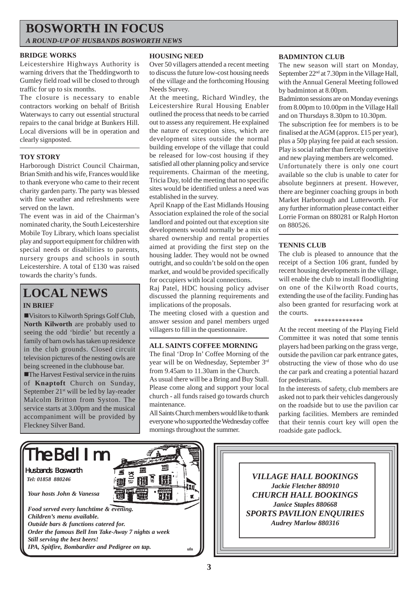## **BOSWORTH IN FOCUS**

*A ROUND-UP OF HUSBANDS BOSWORTH NEWS*

## **BRIDGE WORKS**

Leicestershire Highways Authority is warning drivers that the Theddingworth to Gumley field road will be closed to through traffic for up to six months.

The closure is necessary to enable contractors working on behalf of British Waterways to carry out essential structural repairs to the canal bridge at Bunkers Hill. Local diversions will be in operation and clearly signposted.

## **TOY STORY**

Harborough District Council Chairman, Brian Smith and his wife, Frances would like to thank everyone who came to their recent charity garden party. The party was blessed with fine weather and refreshments were served on the lawn.

The event was in aid of the Chairman's nominated charity, the South Leicestershire Mobile Toy Library, which loans specialist play and support equipment for children with special needs or disabilities to parents, nursery groups and schools in south Leicestershire. A total of £130 was raised towards the charity's funds.

## **LOCAL NEWS**

## **IN BRIEF**

!Visitors to Kilworth Springs Golf Club, **North Kilworth** are probably used to seeing the odd 'birdie' but recently a family of barn owls has taken up residence in the club grounds. Closed circuit television pictures of the nesting owls are being screened in the clubhouse bar.

**The Harvest Festival service in the ruins** of **Knaptoft** Church on Sunday, September 21<sup>st</sup> will be led by lay-reader Malcolm Britton from Syston. The service starts at 3.00pm and the musical accompaniment will be provided by Fleckney Silver Band.

## **HOUSING NEED**

Over 50 villagers attended a recent meeting to discuss the future low-cost housing needs of the village and the forthcoming Housing Needs Survey.

At the meeting, Richard Windley, the Leicestershire Rural Housing Enabler outlined the process that needs to be carried out to assess any requirement. He explained the nature of exception sites, which are development sites outside the normal building envelope of the village that could be released for low-cost housing if they satisfied all other planning policy and service requirements. Chairman of the meeting, Tricia Day, told the meeting that no specific sites would be identified unless a need was established in the survey.

April Knapp of the East Midlands Housing Association explained the role of the social landlord and pointed out that exception site developments would normally be a mix of shared ownership and rental properties aimed at providing the first step on the housing ladder. They would not be owned outright, and so couldn't be sold on the open market, and would be provided specifically for occupiers with local connections.

Raj Patel, HDC housing policy adviser discussed the planning requirements and implications of the proposals.

The meeting closed with a question and answer session and panel members urged villagers to fill in the questionnaire.

### **ALL SAINTS COFFEE MORNING**

The final 'Drop In' Coffee Morning of the year will be on Wednesday, September 3rd from 9.45am to 11.30am in the Church. As usual there will be a Bring and Buy Stall. Please come along and support your local church - all funds raised go towards church maintenance.

All Saints Church members would like to thank everyone who supported the Wednesday coffee mornings throughout the summer.

## **BADMINTON CLUB**

The new season will start on Monday, September 22<sup>nd</sup> at 7.30pm in the Village Hall, with the Annual General Meeting followed by badminton at 8.00pm.

Badminton sessions are on Monday evenings from 8.00pm to 10.00pm in the Village Hall and on Thursdays 8.30pm to 10.30pm.

The subscription fee for members is to be finalised at the AGM (approx. £15 per year), plus a 50p playing fee paid at each session. Play is social rather than fiercely competitive and new playing members are welcomed.

Unfortunately there is only one court available so the club is unable to cater for absolute beginners at present. However, there are beginner coaching groups in both Market Harborough and Lutterworth. For any further information please contact either Lorrie Forman on 880281 or Ralph Horton on 880526.

## **TENNIS CLUB**

The club is pleased to announce that the receipt of a Section 106 grant, funded by recent housing developments in the village, will enable the club to install floodlighting on one of the Kilworth Road courts, extending the use of the facility. Funding has also been granted for resurfacing work at the courts.

\*\*\*\*\*\*\*\*\*\*\*\*\*\*

At the recent meeting of the Playing Field Committee it was noted that some tennis players had been parking on the grass verge, outside the pavilion car park entrance gates, obstructing the view of those who do use the car park and creating a potential hazard for pedestrians.

In the interests of safety, club members are asked not to park their vehicles dangerously on the roadside but to use the pavilion car parking facilities. Members are reminded that their tennis court key will open the roadside gate padlock.



*VILLAGE HALL BOOKINGS Jackie Fletcher 880910 CHURCH HALL BOOKINGS Janice Staples 880668 SPORTS PAVILION ENQUIRIES Audrey Marlow 880316*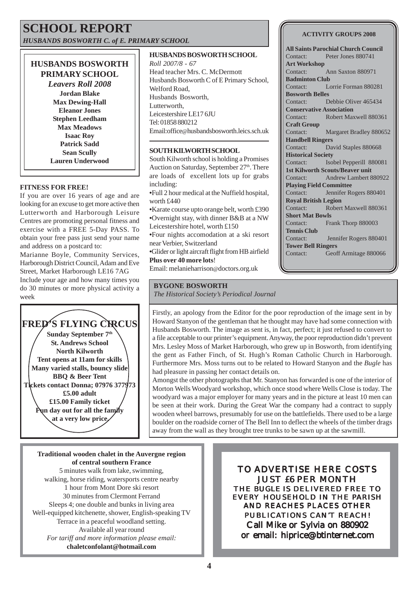## **SCHOOL REPORT** *HUSBANDS BOSWORTH C. of E. PRIMARY SCHOOL*

## **HUSBANDS BOSWORTH PRIMARY SCHOOL**

*Leavers Roll 2008* **Jordan Blake Max Dewing-Hall Eleanor Jones Stephen Leedham Max Meadows Isaac Roy Patrick Sadd Sean Scully Lauren Underwood**

### **FITNESS FOR FREE!**

If you are over 16 years of age and are looking for an excuse to get more active then Lutterworth and Harborough Leisure Centres are promoting personal fitness and exercise with a FREE 5-Day PASS. To obtain your free pass just send your name and address on a postcard to:

Marianne Boyle, Community Services, Harborough District Council, Adam and Eve Street, Market Harborough LE16 7AG Include your age and how many times you do 30 minutes or more physical activity a week



### **HUSBANDS BOSWORTH SCHOOL**

*Roll 2007/8 - 67* Head teacher Mrs. C. McDermott Husbands Bosworth C of E Primary School, Welford Road, Husbands Bosworth, Lutterworth, Leicestershire LE17 6JU Tel: 01858 880212 Email:office@husbandsbosworth.leics.sch.uk

## **SOUTH KILWORTH SCHOOL**

South Kilworth school is holding a Promises Auction on Saturday, September 27<sup>th</sup>. There are loads of excellent lots up for grabs including:

**•**Full 2 hour medical at the Nuffield hospital, worth £440

**•**Karate course upto orange belt, worth £390 **•**Overnight stay, with dinner B&B at a NW Leicestershire hotel, worth £150

**•**Four nights accomodation at a ski resort near Verbier, Switzerland

**•**Glider or light aircraft flight from HB airfield **Plus over 40 more lots**!

Email: melanieharrison@doctors.org.uk

## **BYGONE BOSWORTH**

*The Historical Society's Periodical Journal*

**ACTIVITY GROUPS 2008**

**All Saints Parochial Church Council** Contact: Peter Jones 880741 **Art Workshop** Contact: Ann Saxton 880971 **Badminton Club** Contact: Lorrie Forman 880281 **Bosworth Belles** Contact: Debbie Oliver 465434 **Conservative Association** Contact: Robert Maxwell 880361 **Craft Group** Contact: Margaret Bradley 880652 **Handbell Ringers** Contact: David Staples 880668 **Historical Society** Contact: Isobel Pepperill 880081 **1st Kilworth Scouts/Beaver unit** Contact: Andrew Lambert 880922 **Playing Field Committee** Contact: Jennifer Rogers 880401 **Royal British Legion** Contact: Robert Maxwell 880361 **Short Mat Bowls** Contact: Frank Thorp 880003 **Tennis Club** Contact: Jennifer Rogers 880401 **Tower Bell Ringers** Contact: Geoff Armitage 880066

Firstly, an apology from the Editor for the poor reproduction of the image sent in by Howard Stanyon of the gentleman that he thought may have had some connection with Husbands Bosworth. The image as sent is, in fact, perfect; it just refused to convert to a file acceptable to our printer's equipment. Anyway, the poor reproduction didn't prevent Mrs. Lesley Moss of Market Harborough, who grew up in Bosworth, from identifying the gent as Father Finch, of St. Hugh's Roman Catholic Church in Harborough. Furthermore Mrs. Moss turns out to be related to Howard Stanyon and the *Bugle* has had pleasure in passing her contact details on.

Amongst the other photographs that Mr. Stanyon has forwarded is one of the interior of Morton Wells Woodyard workshop, which once stood where Wells Close is today. The woodyard was a major employer for many years and in the picture at least 10 men can be seen at their work. During the Great War the company had a contract to supply wooden wheel barrows, presumably for use on the battlefields. There used to be a large boulder on the roadside corner of The Bell Inn to deflect the wheels of the timber drags away from the wall as they brought tree trunks to be sawn up at the sawmill.

**Traditional wooden chalet in the Auvergne region of central southern France** 5 minutes walk from lake, swimming, walking, horse riding, watersports centre nearby 1 hour from Mont Dore ski resort 30 minutes from Clermont Ferrand Sleeps 4; one double and bunks in living area Well-equipped kitchenette, shower, English-speaking TV Terrace in a peaceful woodland setting. Available all year round *For tariff and more information please email:* **chaletconfolant@hotmail.com**

TO ADVERTISE HERE COSTS JUST £6 PER MONTH THE *BUGLE* IS DELIVERED FREE TO EVERY HOUSEHOLD IN THE PARISH AND REACHES PLACES OTHER PUBLICATIONS CAN'T REACH! Call Mike or Sylvia on 880902 or email: hiprice@btinternet.com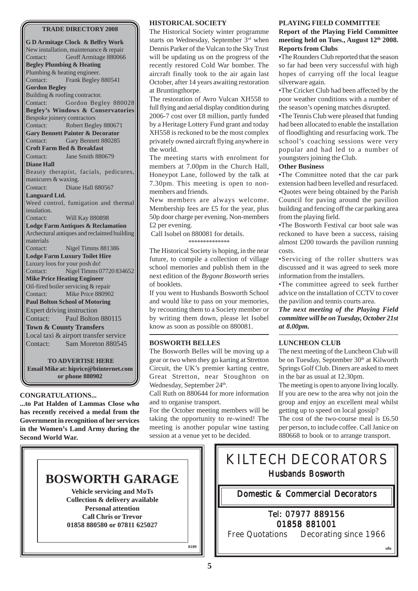#### **TRADE DIRECTORY 2008**

**G D Armitage Clock & Belfry Work** New installation, maintenance & repair Contact: Geoff Armitage 880066 **Begley Plumbing & Heating** Plumbing & heating engineer. Contact: Frank Begley 880541 **Gordon Begley** Building & roofing contractor. Contact: Gordon Begley 880028 **Begley's Windows & Conservatories** Bespoke joinery contractors Contact: Robert Begley 880671 **Gary Bennett Painter & Decorator** Contact: Gary Bennett 880285 **Croft Farm Bed & Breakfast** Contact: Jane Smith 880679 **Diane Hall** Beauty therapist, facials, pedicures, manicures & waxing. Contact: Diane Hall 880567 **Languard Ltd.** Weed control, fumigation and thermal insulation. Contact: Will Kay 880898 **Lodge Farm Antiques & Reclamation** Archectural antiques and reclaimed building materials Contact: Nigel Timms 881386 **Lodge Farm Luxury Toilet Hire** Luxury loos for your posh do! Contact: Nigel Timms 07720 834652 **Mike Price Heating Engineer** Oil-fired boiler servicing & repair Contact: Mike Price 880902 **Paul Bolton School of Motoring** Expert driving instruction Contact: Paul Bolton 880115 **Town & County Transfers** Local taxi & airport transfer service Contact: Sam Moreton 880545

**TO ADVERTISE HERE Email Mike at: hiprice@btinternet.com or phone 880902**

#### **CONGRATULATIONS...**

**...to Pat Halden of Lammas Close who has recently received a medal from the Government in recognition of her services in the Women's Land Army during the Second World War.**

#### **HISTORICAL SOCIETY**

The Historical Society winter programme starts on Wednesday, September 3rd when Dennis Parker of the Vulcan to the Sky Trust will be updating us on the progress of the recently restored Cold War bomber. The aircraft finally took to the air again last October, after 14 years awaiting restoration at Bruntingthorpe.

The restoration of Avro Vulcan XH558 to full flying and aerial display condition during 2006-7 cost over £8 million, partly funded by a Heritage Lottery Fund grant and today XH558 is reckoned to be the most complex privately owned aircraft flying anywhere in the world.

The meeting starts with enrolment for members at 7.00pm in the Church Hall, Honeypot Lane, followed by the talk at 7.30pm. This meeting is open to nonmembers and friends.

New members are always welcome. Membership fees are £5 for the year, plus 50p door charge per evening. Non-members £2 per evening.

 Call Isobel on 880081 for details. \*\*\*\*\*\*\*\*\*\*\*\*\*\*

The Historical Society is hoping, in the near future, to compile a collection of village school memories and publish them in the next edition of the *Bygone Bosworth* series of booklets.

If you went to Husbands Bosworth School and would like to pass on your memories, by recounting them to a Society member or by writing them down, please let Isobel know as soon as possible on 880081.

### **BOSWORTH BELLES**

The Bosworth Belles will be moving up a gear or two when they go karting at Stretton Circuit, the UK's premier karting centre, Great Stretton, near Stoughton on Wednesday, September 24<sup>th</sup>.

Call Ruth on 880644 for more information and to organise transport.

For the October meeting members will be taking the opportunity to re-wined! The meeting is another popular wine tasting session at a venue yet to be decided.

#### **PLAYING FIELD COMMITTEE**

### **Report of the Playing Field Committee meeting held on Tues., August 12th 2008. Reports from Clubs**

•The Rounders Club reported that the season so far had been very successful with high hopes of carrying off the local league silverware again.

•The Cricket Club had been affected by the poor weather conditions with a number of the season's opening matches disrupted.

•The Tennis Club were pleased that funding had been allocated to enable the installation of floodlighting and resurfacing work. The school's coaching sessions were very popular and had led to a number of youngsters joining the Club.

## **Other Business**

•The Committee noted that the car park extension had been levelled and resurfaced. •Quotes were being obtained by the Parish Council for paving around the pavilion building and fencing off the car parking area from the playing field.

•The Bosworth Festival car boot sale was reckoned to have been a success, raising almost £200 towards the pavilion running costs.

•Servicing of the roller shutters was discussed and it was agreed to seek more information from the installers.

•The committee agreed to seek further advice on the installation of CCTV to cover the pavilion and tennis courts area.

*The next meeting of the Playing Field committee will be on Tuesday, October 21st at 8.00pm.*

### **LUNCHEON CLUB**

The next meeting of the Luncheon Club will be on Tuesday, September 30<sup>th</sup> at Kilworth Springs Golf Club. Diners are asked to meet in the bar as usual at 12.30pm.

The meeting is open to anyone living locally. If you are new to the area why not join the group and enjoy an excellent meal whilst getting up to speed on local gossip? The cost of the two-course meal is £6.50 per person, to include coffee. Call Janice on 880668 to book or to arrange transport.

**ufn**



KILTECH DECORATORS Husbands Bosworth Domestic & Commercial Decorators & Commercial Decorators

## Tel: 07977 889156 01858 881001

Free Quotations Decorating since 1966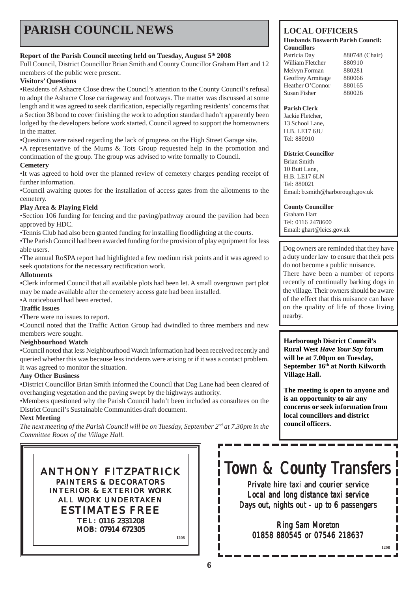## **PARISH COUNCIL NEWS**

## **Report of the Parish Council meeting held on Tuesday, August 5th 2008**

Full Council, District Councillor Brian Smith and County Councillor Graham Hart and 12 members of the public were present.

## **Visitors' Questions**

•Residents of Ashacre Close drew the Council's attention to the County Council's refusal to adopt the Ashacre Close carriageway and footways. The matter was discussed at some length and it was agreed to seek clarification, especially regarding residents' concerns that a Section 38 bond to cover finishing the work to adoption standard hadn't apparently been lodged by the developers before work started. Council agreed to support the homeowners in the matter.

•Questions were raised regarding the lack of progress on the High Street Garage site. •A representative of the Mums & Tots Group requested help in the promotion and continuation of the group. The group was advised to write formally to Council.

## **Cemetery**

•It was agreed to hold over the planned review of cemetery charges pending receipt of further information.

•Council awaiting quotes for the installation of access gates from the allotments to the cemetery.

## **Play Area & Playing Field**

•Section 106 funding for fencing and the paving/pathway around the pavilion had been approved by HDC.

•Tennis Club had also been granted funding for installing floodlighting at the courts.

•The Parish Council had been awarded funding for the provision of play equipment for less able users.

•The annual RoSPA report had highlighted a few medium risk points and it was agreed to seek quotations for the necessary rectification work.

## **Allotments**

•Clerk informed Council that all available plots had been let. A small overgrown part plot may be made available after the cemetery access gate had been installed.

•A noticeboard had been erected.

## **Traffic Issues**

•There were no issues to report.

•Council noted that the Traffic Action Group had dwindled to three members and new members were sought.

## **Neighbourhood Watch**

•Council noted that less Neighbourhood Watch information had been received recently and queried whether this was because less incidents were arising or if it was a contact problem. It was agreed to monitor the situation.

## **Any Other Business**

•District Councillor Brian Smith informed the Council that Dag Lane had been cleared of overhanging vegetation and the paving swept by the highways authority.

•Members questioned why the Parish Council hadn't been included as consultees on the District Council's Sustainable Communities draft document.

## **Next Meeting**

*The next meeting of the Parish Council will be on Tuesday, September 2nd at 7.30pm in the Committee Room of the Village Hall.*

ANTHONY FITZPATRICK PAINTERS & DECORATORS INTERIOR & EXTERIOR WORK ALL WORK UNDERTAKEN ESTIMATES FREE TEL: 0116 2331208 MOB: 07914 672305

**1208**

## **LOCAL OFFICERS**

#### **Husbands Bosworth Parish Council: Councillors**

Patricia Day 880748 (Chair) William Fletcher 880910 Melvyn Forman 880281 Geoffrey Armitage 880066 Heather O'Connor 880165 Susan Fisher 880026

### **Parish Clerk**

Jackie Fletcher, 13 School Lane, H.B. LE17 6JU Tel: 880910

### **District Councillor**

Brian Smith 10 Butt Lane, H.B. LE17 6LN Tel: 880021 Email: b.smith@harborough.gov.uk

## **County Councillor**

Graham Hart Tel: 0116 2478600 Email: ghart@leics.gov.uk

Dog owners are reminded that they have a duty under law to ensure that their pets do not become a public nuisance.

There have been a number of reports recently of continually barking dogs in the village. Their owners should be aware of the effect that this nuisance can have on the quality of life of those living nearby.

**Harborough District Council's Rural West** *Have Your Say* **forum will be at 7.00pm on Tuesday, September 16th at North Kilworth Village Hall.**

**The meeting is open to anyone and is an opportunity to air any concerns or seek information from local councillors and district council officers.**

**1208**

# Town & County Transfers

Private hire taxi and courier service Local and long distance taxi service Days out, nights out - up to  $6$  passengers

Ring Sam Moreton 01858 880545 or 07546 218637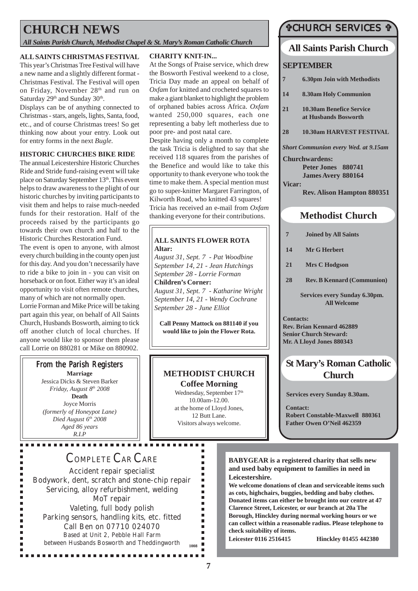## **CHURCH NEWS**

*All Saints Parish Church, Methodist Chapel & St. Mary's Roman Catholic Church*

## **ALL SAINTS CHRISTMAS FESTIVAL**

This year's Christmas Tree Festival will have a new name and a slightly different format - Christmas Festival. The Festival will open on Friday, November 28th and run on Saturday 29<sup>th</sup> and Sunday 30<sup>th</sup>.

Displays can be of anything connected to Christmas - stars, angels, lights, Santa, food, etc., and of course Christmas trees! So get thinking now about your entry. Look out for entry forms in the next *Bugle*.

### **HISTORIC CHURCHES BIKE RIDE**

The annual Leicestershire Historic Churches Ride and Stride fund-raising event will take place on Saturday September 13th. This event helps to draw awareness to the plight of our historic churches by inviting participants to visit them and helps to raise much-needed funds for their restoration. Half of the proceeds raised by the participants go towards their own church and half to the Historic Churches Restoration Fund.

The event is open to anyone, with almost every church building in the county open just for this day. And you don't necessarily have to ride a bike to join in - you can visit on horseback or on foot. Either way it's an ideal opportunity to visit often remote churches, many of which are not normally open.

Lorrie Forman and Mike Price will be taking part again this year, on behalf of All Saints Church, Husbands Bosworth, aiming to tick off another clutch of local churches. If anyone would like to sponsor them please call Lorrie on 880281 or Mike on 880902.

## From the Parish Registers

**Marriage** Jessica Dicks & Steven Barker *Friday, August 8th 2008* **Death** Joyce Morris *(formerly of Honeypot Lane) Died August 6th 2008 Aged 86 years R.I.P*

..............

n.

Ė

## **CHARITY KNIT-IN...**

At the Songs of Praise service, which drew the Bosworth Festival weekend to a close, Tricia Day made an appeal on behalf of *Oxfam* for knitted and crocheted squares to make a giant blanket to highlight the problem of orphaned babies across Africa. *Oxfam* wanted 250,000 squares, each one representing a baby left motherless due to poor pre- and post natal care.

Despite having only a month to complete the task Tricia is delighted to say that she received 118 squares from the parishes of the Benefice and would like to take this opportunity to thank everyone who took the time to make them. A special mention must go to super-knitter Margaret Farrington, of Kilworth Road, who knitted 43 squares! Tricia has received an e-mail from *Oxfam* thanking everyone for their contributions.

#### **ALL SAINTS FLOWER ROTA Altar:**

*August 31, Sept. 7 - Pat Woodbine September 14, 21 - Jean Hutchings September 28 - Lorrie Forman* **Children's Corner:** *August 31, Sept. 7 - Katharine Wright September 14, 21 - Wendy Cochrane September 28 - June Elliot*

**Call Penny Mattock on 881140 if you would like to join the Flower Rota.**

## **METHODIST CHURCH Coffee Morning**

Wednesday, September 17<sup>th</sup> 10.00am-12.00. at the home of Lloyd Jones, 12 Butt Lane. Visitors always welcome.

> ×.  $\blacksquare$  $\blacksquare$  $\blacksquare$  $\blacksquare$  $\blacksquare$  $\blacksquare$  $\blacksquare$

> $\blacksquare$  $\blacksquare$  $\blacksquare$  $\blacksquare$ ٠ п

## *T***CHURCH SERVICES T**

## **All Saints Parish Church**

## **SEPTEMBER**

- **7 6.30pm Join with Methodists**
- **14 8.30am Holy Communion**
- **21 10.30am Benefice Service at Husbands Bosworth**
- **28 10.30am HARVEST FESTIVAL**
- *Short Communion every Wed. at 9.15am*

**Churchwardens: Peter Jones 880741 James Avery 880164**

**Vicar:**

#### **Rev. Alison Hampton 880351**

## **Methodist Church**

- **7 Joined by All Saints**
- **14 Mr G Herbert**
- **21 Mrs C Hodgson**
- **28 Rev. B Kennard (Communion)**

**Services every Sunday 6.30pm. All Welcome**

**Contacts: Rev. Brian Kennard 462889 Senior Church Steward: Mr. A Lloyd Jones 880343**

## **St Mary's Roman Catholic Church**

**Services every Sunday 8.30am.**

**Contact: Robert Constable-Maxwell 880361 Father Owen O'Neil 462359**

## COMPLETE CAR CARE

Accident repair specialist Bodywork, dent, scratch and stone-chip repair Servicing, alloy refurbishment, welding MoT repair Valeting, full body polish Parking sensors, handling kits, etc. fitted Call Ben on 07710 024070 Based at Unit 2, Pebble Hall Farm between Husbands Bosworth and Theddingworth **<sup>1008</sup>**

................

**BABYGEAR is a registered charity that sells new and used baby equipment to families in need in Leicestershire.**

**We welcome donations of clean and serviceable items such as cots, highchairs, buggies, bedding and baby clothes. Donated items can either be brought into our centre at 47 Clarence Street, Leicester, or our branch at 20a The Borough, Hinckley during normal working hours or we can collect within a reasonable radius. Please telephone to check suitability of items.**

**Leicester 0116 2516415 Hinckley 01455 442380**